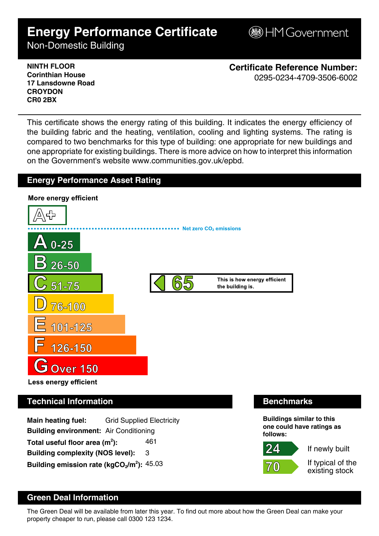# **Energy Performance Certificate**

**B**HM Government

Non-Domestic Building

**NINTH FLOOR Corinthian House 17 Lansdowne Road CROYDON CR0 2BX**

**Certificate Reference Number:** 0295-0234-4709-3506-6002

This certificate shows the energy rating of this building. It indicates the energy efficiency of the building fabric and the heating, ventilation, cooling and lighting systems. The rating is compared to two benchmarks for this type of building: one appropriate for new buildings and one appropriate for existing buildings. There is more advice on how to interpret this information on the Government's website www.communities.gov.uk/epbd.

# **Energy Performance Asset Rating**



# **Technical Information Benchmarks**

**Main heating fuel:** Grid Supplied Electricity **Building environment:** Air Conditioning Total useful floor area (m<sup>2</sup>): **):** 461 **Building complexity (NOS level):** 3 **Building emission rate (kgCO2/m<sup>2</sup> ):** 45.03

 $\Delta$ 

 $7/ (0)$ 





If typical of the existing stock

# **Green Deal Information**

The Green Deal will be available from later this year. To find out more about how the Green Deal can make your property cheaper to run, please call 0300 123 1234.